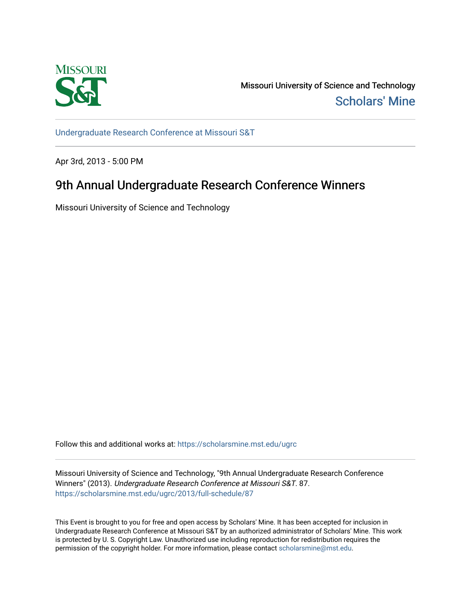

Missouri University of Science and Technology [Scholars' Mine](https://scholarsmine.mst.edu/) 

[Undergraduate Research Conference at Missouri S&T](https://scholarsmine.mst.edu/ugrc)

Apr 3rd, 2013 - 5:00 PM

# 9th Annual Undergraduate Research Conference Winners

Missouri University of Science and Technology

Follow this and additional works at: [https://scholarsmine.mst.edu/ugrc](https://scholarsmine.mst.edu/ugrc?utm_source=scholarsmine.mst.edu%2Fugrc%2F2013%2Ffull-schedule%2F87&utm_medium=PDF&utm_campaign=PDFCoverPages) 

Missouri University of Science and Technology, "9th Annual Undergraduate Research Conference Winners" (2013). Undergraduate Research Conference at Missouri S&T. 87. [https://scholarsmine.mst.edu/ugrc/2013/full-schedule/87](https://scholarsmine.mst.edu/ugrc/2013/full-schedule/87?utm_source=scholarsmine.mst.edu%2Fugrc%2F2013%2Ffull-schedule%2F87&utm_medium=PDF&utm_campaign=PDFCoverPages) 

This Event is brought to you for free and open access by Scholars' Mine. It has been accepted for inclusion in Undergraduate Research Conference at Missouri S&T by an authorized administrator of Scholars' Mine. This work is protected by U. S. Copyright Law. Unauthorized use including reproduction for redistribution requires the permission of the copyright holder. For more information, please contact [scholarsmine@mst.edu](mailto:scholarsmine@mst.edu).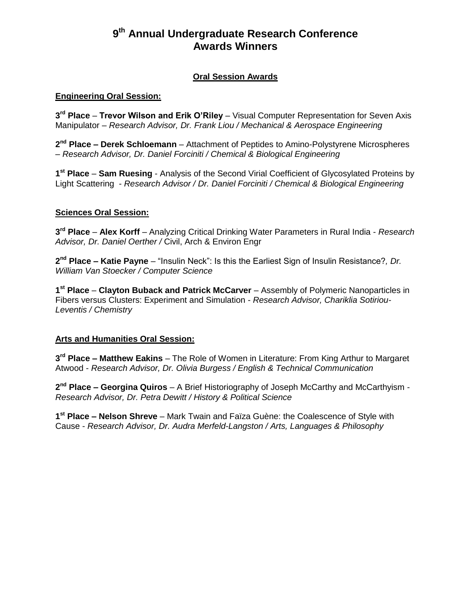# **9 th Annual Undergraduate Research Conference Awards Winners**

## **Oral Session Awards**

#### **Engineering Oral Session:**

**3 rd Place** – **Trevor Wilson and Erik O'Riley** – Visual Computer Representation for Seven Axis Manipulator – *Research Advisor, Dr. Frank Liou / Mechanical & Aerospace Engineering*

2<sup>nd</sup> Place – Derek Schloemann – Attachment of Peptides to Amino-Polystyrene Microspheres – *Research Advisor, Dr. Daniel Forciniti / Chemical & Biological Engineering*

**1 st Place** – **Sam Ruesing** - Analysis of the Second Virial Coefficient of Glycosylated Proteins by Light Scattering - *Research Advisor / Dr. Daniel Forciniti / Chemical & Biological Engineering*

#### **Sciences Oral Session:**

**3 rd Place** – **Alex Korff** – Analyzing Critical Drinking Water Parameters in Rural India - *Research Advisor, Dr. Daniel Oerther /* Civil, Arch & Environ Engr

**2 nd Place – Katie Payne** – "Insulin Neck": Is this the Earliest Sign of Insulin Resistance?*, Dr. William Van Stoecker / Computer Science*

**1 st Place** – **Clayton Buback and Patrick McCarver** – Assembly of Polymeric Nanoparticles in Fibers versus Clusters: Experiment and Simulation - *Research Advisor, Chariklia Sotiriou-Leventis / Chemistry*

#### **Arts and Humanities Oral Session:**

**3 rd Place – Matthew Eakins** – The Role of Women in Literature: From King Arthur to Margaret Atwood - *Research Advisor, Dr. Olivia Burgess / English & Technical Communication*

**2 nd Place – Georgina Quiros** – A Brief Historiography of Joseph McCarthy and McCarthyism - *Research Advisor, Dr. Petra Dewitt / History & Political Science*

**1 st Place – Nelson Shreve** – Mark Twain and Faïza Guène: the Coalescence of Style with Cause - *Research Advisor, Dr. Audra Merfeld-Langston / Arts, Languages & Philosophy*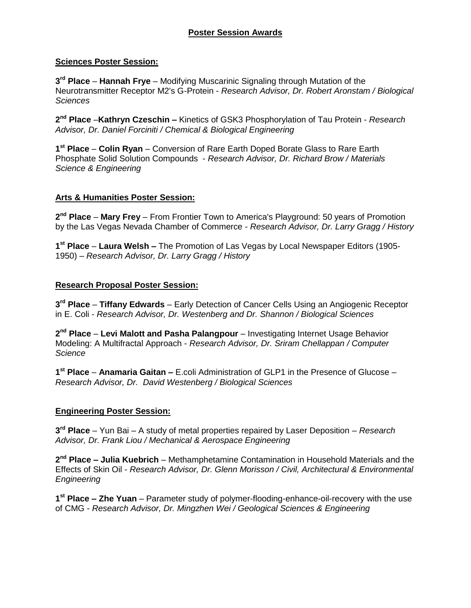# **Sciences Poster Session:**

**3 rd Place** – **Hannah Frye** – Modifying Muscarinic Signaling through Mutation of the Neurotransmitter Receptor M2's G-Protein - *Research Advisor, Dr. Robert Aronstam / Biological Sciences*

**2 nd Place** –**Kathryn Czeschin –** Kinetics of GSK3 Phosphorylation of Tau Protein - *Research Advisor, Dr. Daniel Forciniti / Chemical & Biological Engineering* 

**1 st Place** – **Colin Ryan** – Conversion of Rare Earth Doped Borate Glass to Rare Earth Phosphate Solid Solution Compounds - *Research Advisor, Dr. Richard Brow / Materials Science & Engineering*

#### **Arts & Humanities Poster Session:**

**2 nd Place** – **Mary Frey** – From Frontier Town to America's Playground: 50 years of Promotion by the Las Vegas Nevada Chamber of Commerce - *Research Advisor, Dr. Larry Gragg / History*

**1 st Place** – **Laura Welsh –** The Promotion of Las Vegas by Local Newspaper Editors (1905- 1950) – *Research Advisor, Dr. Larry Gragg / History*

## **Research Proposal Poster Session:**

**3 rd Place** – **Tiffany Edwards** – Early Detection of Cancer Cells Using an Angiogenic Receptor in E. Coli - *Research Advisor, Dr. Westenberg and Dr. Shannon / Biological Sciences*

**2 nd Place** – **Levi Malott and Pasha Palangpour** – Investigating Internet Usage Behavior Modeling: A Multifractal Approach - *Research Advisor, Dr. Sriram Chellappan / Computer Science*

**1 st Place** – **Anamaria Gaitan –** E.coli Administration of GLP1 in the Presence of Glucose – *Research Advisor, Dr. David Westenberg / Biological Sciences*

# **Engineering Poster Session:**

**3 rd Place** – Yun Bai – A study of metal properties repaired by Laser Deposition – *Research Advisor, Dr. Frank Liou / Mechanical & Aerospace Engineering*

**2 nd Place – Julia Kuebrich** – Methamphetamine Contamination in Household Materials and the Effects of Skin Oil - *Research Advisor, Dr. Glenn Morisson / Civil, Architectural & Environmental Engineering*

1<sup>st</sup> Place – Zhe Yuan – Parameter study of polymer-flooding-enhance-oil-recovery with the use of CMG - *Research Advisor, Dr. Mingzhen Wei / Geological Sciences & Engineering*